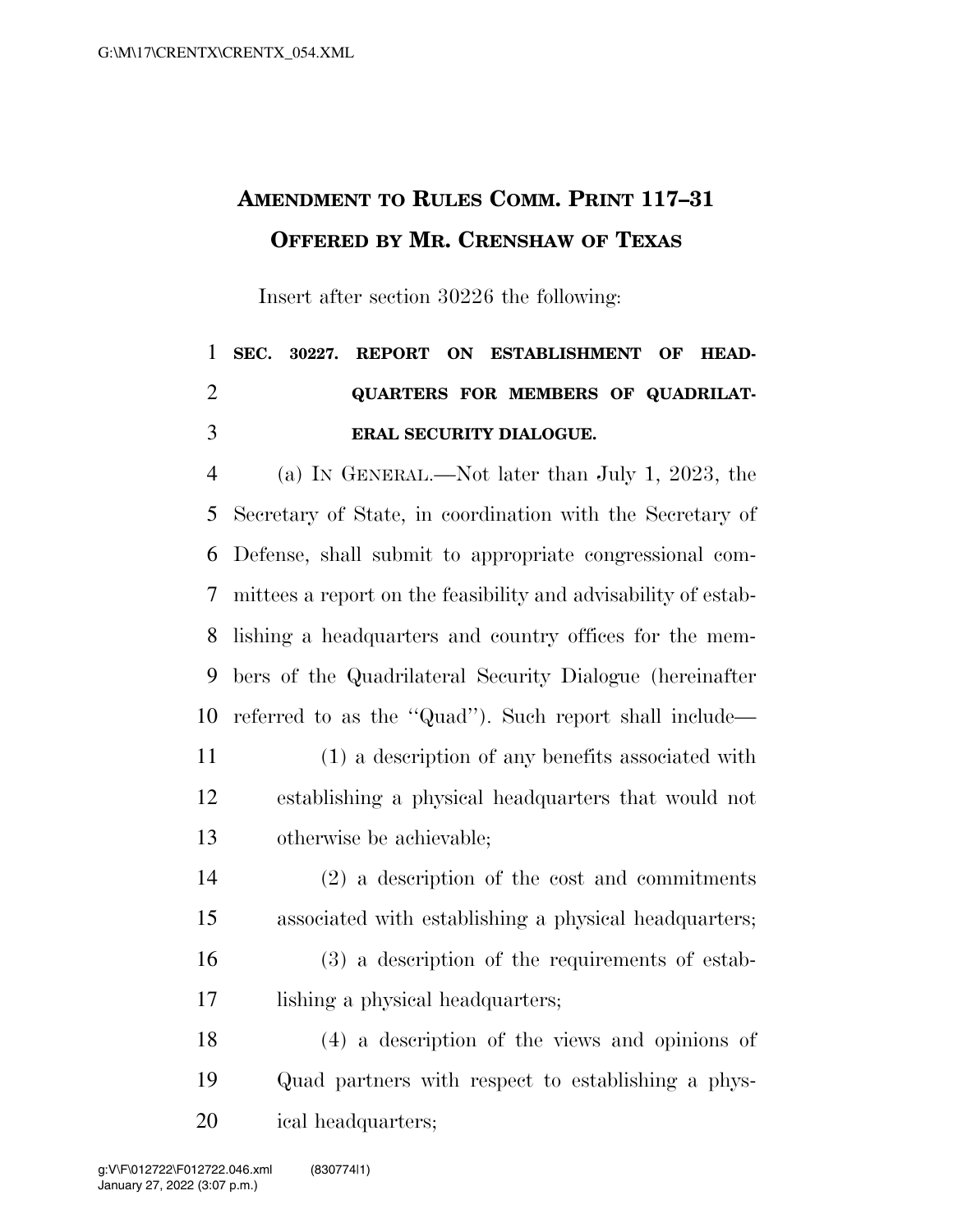## **AMENDMENT TO RULES COMM. PRINT 117–31 OFFERED BY MR. CRENSHAW OF TEXAS**

Insert after section 30226 the following:

## **SEC. 30227. REPORT ON ESTABLISHMENT OF HEAD- QUARTERS FOR MEMBERS OF QUADRILAT-ERAL SECURITY DIALOGUE.**

 (a) IN GENERAL.—Not later than July 1, 2023, the Secretary of State, in coordination with the Secretary of Defense, shall submit to appropriate congressional com- mittees a report on the feasibility and advisability of estab- lishing a headquarters and country offices for the mem- bers of the Quadrilateral Security Dialogue (hereinafter referred to as the ''Quad''). Such report shall include— (1) a description of any benefits associated with establishing a physical headquarters that would not otherwise be achievable;

- (2) a description of the cost and commitments associated with establishing a physical headquarters; (3) a description of the requirements of estab-
- lishing a physical headquarters;
- (4) a description of the views and opinions of Quad partners with respect to establishing a phys-ical headquarters;